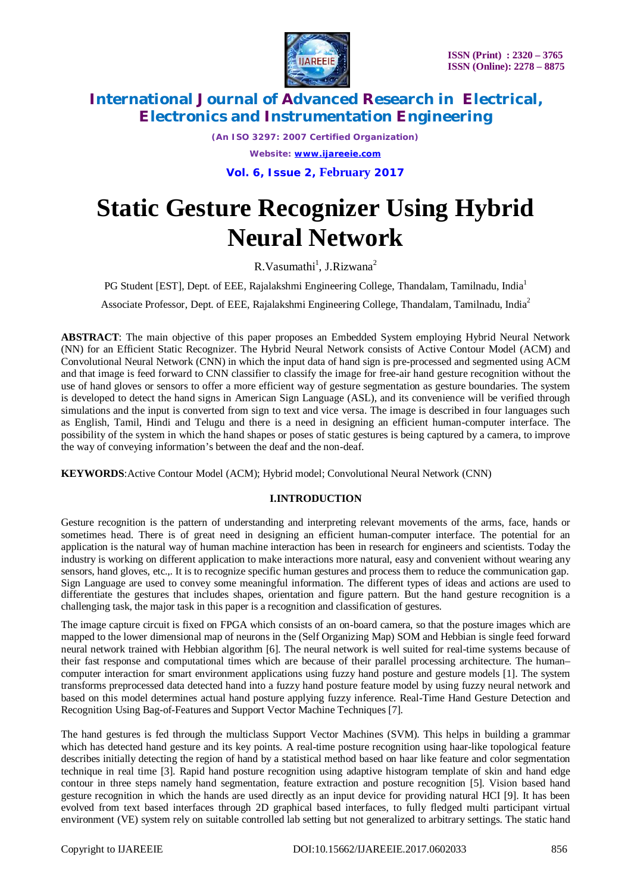

*(An ISO 3297: 2007 Certified Organization) Website: [www.ijareeie.com](http://www.ijareeie.com)*

**Vol. 6, Issue 2, February 2017**

## **Static Gesture Recognizer Using Hybrid Neural Network**

 $R.Vasumathi<sup>1</sup>, J.Rizwana<sup>2</sup>$ 

PG Student [EST], Dept. of EEE, Rajalakshmi Engineering College, Thandalam, Tamilnadu, India<sup>1</sup>

Associate Professor, Dept. of EEE, Rajalakshmi Engineering College, Thandalam, Tamilnadu, India<sup>2</sup>

**ABSTRACT**: The main objective of this paper proposes an Embedded System employing Hybrid Neural Network (NN) for an Efficient Static Recognizer. The Hybrid Neural Network consists of Active Contour Model (ACM) and Convolutional Neural Network (CNN) in which the input data of hand sign is pre-processed and segmented using ACM and that image is feed forward to CNN classifier to classify the image for free-air hand gesture recognition without the use of hand gloves or sensors to offer a more efficient way of gesture segmentation as gesture boundaries. The system is developed to detect the hand signs in American Sign Language (ASL), and its convenience will be verified through simulations and the input is converted from sign to text and vice versa. The image is described in four languages such as English, Tamil, Hindi and Telugu and there is a need in designing an efficient human-computer interface. The possibility of the system in which the hand shapes or poses of static gestures is being captured by a camera, to improve the way of conveying information's between the deaf and the non-deaf.

**KEYWORDS**:Active Contour Model (ACM); Hybrid model; Convolutional Neural Network (CNN)

#### **I.INTRODUCTION**

Gesture recognition is the pattern of understanding and interpreting relevant movements of the arms, face, hands or sometimes head. There is of great need in designing an efficient human-computer interface. The potential for an application is the natural way of human machine interaction has been in research for engineers and scientists. Today the industry is working on different application to make interactions more natural, easy and convenient without wearing any sensors, hand gloves, etc.,. It is to recognize specific human gestures and process them to reduce the communication gap. Sign Language are used to convey some meaningful information. The different types of ideas and actions are used to differentiate the gestures that includes shapes, orientation and figure pattern. But the hand gesture recognition is a challenging task, the major task in this paper is a recognition and classification of gestures.

The image capture circuit is fixed on FPGA which consists of an on-board camera, so that the posture images which are mapped to the lower dimensional map of neurons in the (Self Organizing Map) SOM and Hebbian is single feed forward neural network trained with Hebbian algorithm [6]. The neural network is well suited for real-time systems because of their fast response and computational times which are because of their parallel processing architecture. The human– computer interaction for smart environment applications using fuzzy hand posture and gesture models [1]. The system transforms preprocessed data detected hand into a fuzzy hand posture feature model by using fuzzy neural network and based on this model determines actual hand posture applying fuzzy inference. Real-Time Hand Gesture Detection and Recognition Using Bag-of-Features and Support Vector Machine Techniques [7].

The hand gestures is fed through the multiclass Support Vector Machines (SVM). This helps in building a grammar which has detected hand gesture and its key points. A real-time posture recognition using haar-like topological feature describes initially detecting the region of hand by a statistical method based on haar like feature and color segmentation technique in real time [3]. Rapid hand posture recognition using adaptive histogram template of skin and hand edge contour in three steps namely hand segmentation, feature extraction and posture recognition [5]. Vision based hand gesture recognition in which the hands are used directly as an input device for providing natural HCI [9]. It has been evolved from text based interfaces through 2D graphical based interfaces, to fully fledged multi participant virtual environment (VE) system rely on suitable controlled lab setting but not generalized to arbitrary settings. The static hand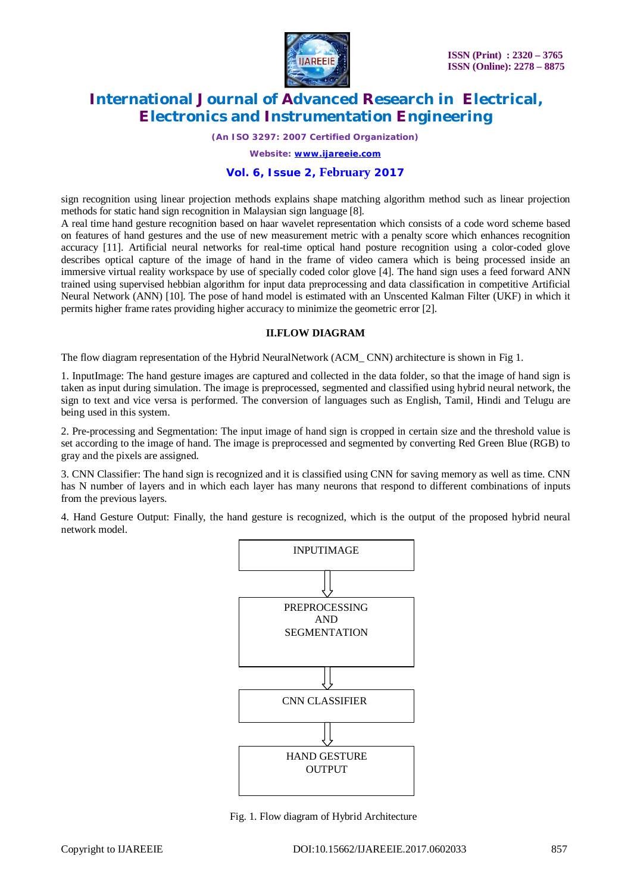

*(An ISO 3297: 2007 Certified Organization)*

*Website: [www.ijareeie.com](http://www.ijareeie.com)*

#### **Vol. 6, Issue 2, February 2017**

sign recognition using linear projection methods explains shape matching algorithm method such as linear projection methods for static hand sign recognition in Malaysian sign language [8].

A real time hand gesture recognition based on haar wavelet representation which consists of a code word scheme based on features of hand gestures and the use of new measurement metric with a penalty score which enhances recognition accuracy [11]. Artificial neural networks for real-time optical hand posture recognition using a color-coded glove describes optical capture of the image of hand in the frame of video camera which is being processed inside an immersive virtual reality workspace by use of specially coded color glove [4]. The hand sign uses a feed forward ANN trained using supervised hebbian algorithm for input data preprocessing and data classification in competitive Artificial Neural Network (ANN) [10]. The pose of hand model is estimated with an Unscented Kalman Filter (UKF) in which it permits higher frame rates providing higher accuracy to minimize the geometric error [2].

#### **II.FLOW DIAGRAM**

The flow diagram representation of the Hybrid NeuralNetwork (ACM CNN) architecture is shown in Fig 1.

1. InputImage: The hand gesture images are captured and collected in the data folder, so that the image of hand sign is taken as input during simulation. The image is preprocessed, segmented and classified using hybrid neural network, the sign to text and vice versa is performed. The conversion of languages such as English, Tamil, Hindi and Telugu are being used in this system.

2. Pre-processing and Segmentation: The input image of hand sign is cropped in certain size and the threshold value is set according to the image of hand. The image is preprocessed and segmented by converting Red Green Blue (RGB) to gray and the pixels are assigned.

3. CNN Classifier: The hand sign is recognized and it is classified using CNN for saving memory as well as time. CNN has N number of layers and in which each layer has many neurons that respond to different combinations of inputs from the previous layers.

4. Hand Gesture Output: Finally, the hand gesture is recognized, which is the output of the proposed hybrid neural network model.



Fig. 1. Flow diagram of Hybrid Architecture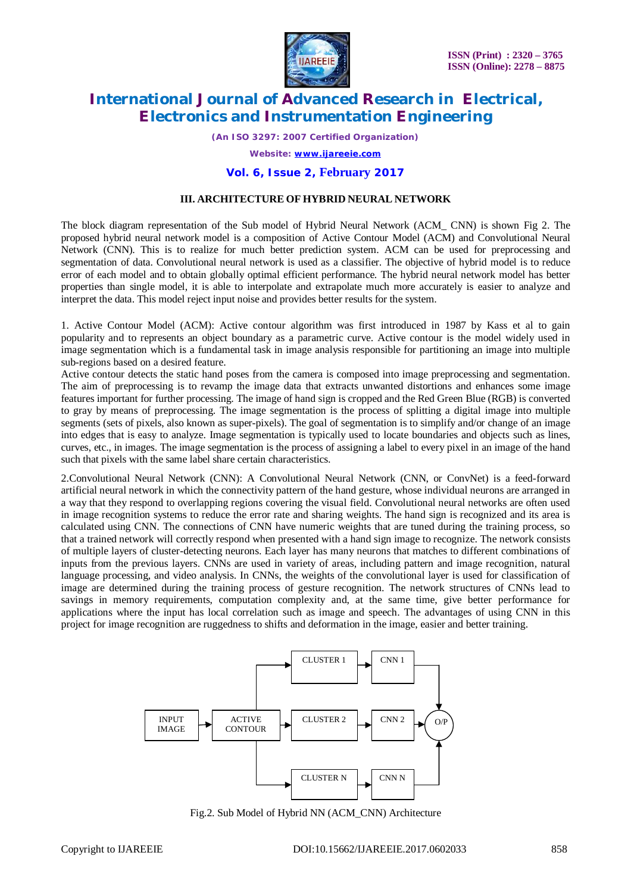

*(An ISO 3297: 2007 Certified Organization)*

*Website: [www.ijareeie.com](http://www.ijareeie.com)*

#### **Vol. 6, Issue 2, February 2017**

#### **III. ARCHITECTURE OF HYBRID NEURAL NETWORK**

The block diagram representation of the Sub model of Hybrid Neural Network (ACM\_ CNN) is shown Fig 2. The proposed hybrid neural network model is a composition of Active Contour Model (ACM) and Convolutional Neural Network (CNN). This is to realize for much better prediction system. ACM can be used for preprocessing and segmentation of data. Convolutional neural network is used as a classifier. The objective of hybrid model is to reduce error of each model and to obtain globally optimal efficient performance. The hybrid neural network model has better properties than single model, it is able to interpolate and extrapolate much more accurately is easier to analyze and interpret the data. This model reject input noise and provides better results for the system.

1. Active Contour Model (ACM): Active contour algorithm was first introduced in 1987 by Kass et al to gain popularity and to represents an object boundary as a parametric curve. Active contour is the model widely used in image segmentation which is a fundamental task in image analysis responsible for partitioning an image into multiple sub-regions based on a desired feature.

Active contour detects the static hand poses from the camera is composed into image preprocessing and segmentation. The aim of preprocessing is to revamp the image data that extracts unwanted distortions and enhances some image features important for further processing. The image of hand sign is cropped and the Red Green Blue (RGB) is converted to gray by means of preprocessing. The image segmentation is the process of splitting a digital image into multiple segments (sets of pixels, also known as super-pixels). The goal of segmentation is to simplify and/or change of an image into edges that is easy to analyze. Image segmentation is typically used to locate boundaries and objects such as lines, curves, etc., in images. The image segmentation is the process of assigning a label to every pixel in an image of the hand such that pixels with the same label share certain characteristics.

2.Convolutional Neural Network (CNN): A Convolutional Neural Network (CNN, or ConvNet) is a feed-forward artificial neural network in which the connectivity pattern of the hand gesture, whose individual neurons are arranged in a way that they respond to overlapping regions covering the visual field. Convolutional neural networks are often used in image recognition systems to reduce the error rate and sharing weights. The hand sign is recognized and its area is calculated using CNN. The connections of CNN have numeric weights that are tuned during the training process, so that a trained network will correctly respond when presented with a hand sign image to recognize. The network consists of multiple layers of cluster-detecting neurons. Each layer has many neurons that matches to different combinations of inputs from the previous layers. CNNs are used in variety of areas, including pattern and image recognition, natural language processing, and video analysis. In CNNs, the weights of the convolutional layer is used for classification of image are determined during the training process of gesture recognition. The network structures of CNNs lead to savings in memory requirements, computation complexity and, at the same time, give better performance for applications where the input has local correlation such as image and speech. The advantages of using CNN in this project for image recognition are ruggedness to shifts and deformation in the image, easier and better training.



Fig.2. Sub Model of Hybrid NN (ACM\_CNN) Architecture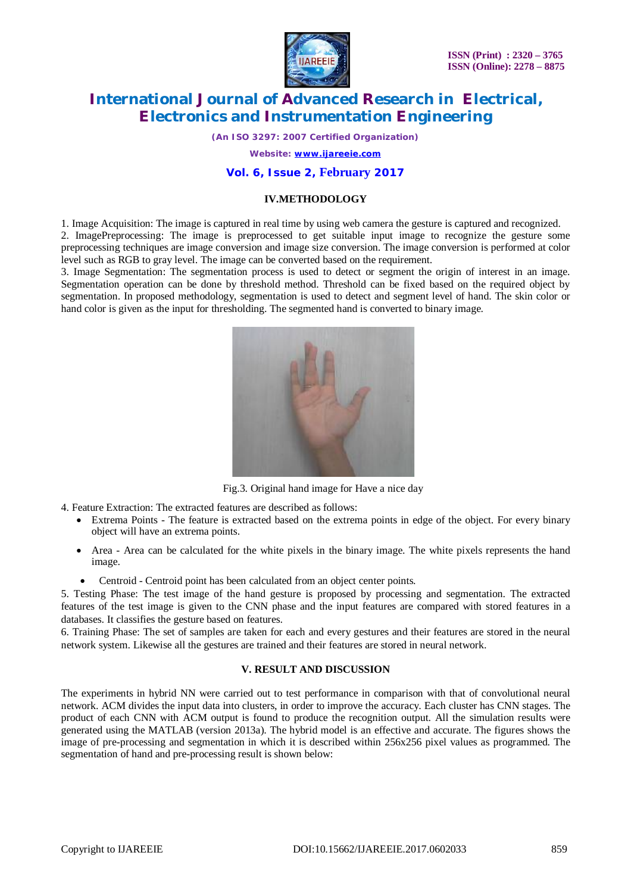

*(An ISO 3297: 2007 Certified Organization)*

*Website: [www.ijareeie.com](http://www.ijareeie.com)*

#### **Vol. 6, Issue 2, February 2017**

#### **IV.METHODOLOGY**

1. Image Acquisition: The image is captured in real time by using web camera the gesture is captured and recognized. 2. ImagePreprocessing: The image is preprocessed to get suitable input image to recognize the gesture some preprocessing techniques are image conversion and image size conversion. The image conversion is performed at color level such as RGB to gray level. The image can be converted based on the requirement.

3. Image Segmentation: The segmentation process is used to detect or segment the origin of interest in an image. Segmentation operation can be done by threshold method. Threshold can be fixed based on the required object by segmentation. In proposed methodology, segmentation is used to detect and segment level of hand. The skin color or hand color is given as the input for thresholding. The segmented hand is converted to binary image.



Fig.3. Original hand image for Have a nice day

4. Feature Extraction: The extracted features are described as follows:

- Extrema Points The feature is extracted based on the extrema points in edge of the object. For every binary object will have an extrema points.
- Area Area can be calculated for the white pixels in the binary image. The white pixels represents the hand image.
	- Centroid Centroid point has been calculated from an object center points.

5. Testing Phase: The test image of the hand gesture is proposed by processing and segmentation. The extracted features of the test image is given to the CNN phase and the input features are compared with stored features in a databases. It classifies the gesture based on features.

6. Training Phase: The set of samples are taken for each and every gestures and their features are stored in the neural network system. Likewise all the gestures are trained and their features are stored in neural network.

#### **V. RESULT AND DISCUSSION**

The experiments in hybrid NN were carried out to test performance in comparison with that of convolutional neural network. ACM divides the input data into clusters, in order to improve the accuracy. Each cluster has CNN stages. The product of each CNN with ACM output is found to produce the recognition output. All the simulation results were generated using the MATLAB (version 2013a). The hybrid model is an effective and accurate. The figures shows the image of pre-processing and segmentation in which it is described within 256x256 pixel values as programmed. The segmentation of hand and pre-processing result is shown below: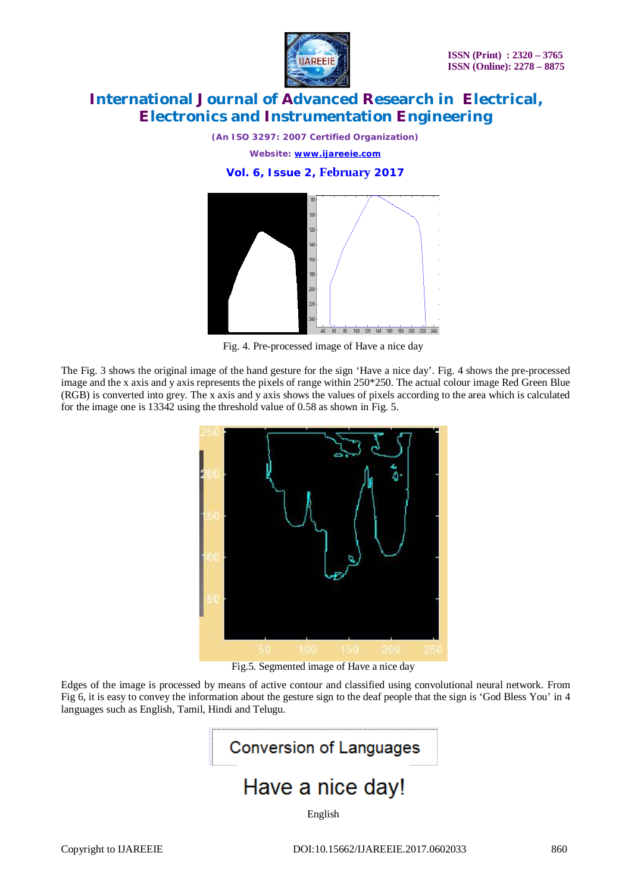

*(An ISO 3297: 2007 Certified Organization) Website: [www.ijareeie.com](http://www.ijareeie.com)*





Fig. 4. Pre-processed image of Have a nice day

The Fig. 3 shows the original image of the hand gesture for the sign 'Have a nice day'. Fig. 4 shows the pre-processed image and the x axis and y axis represents the pixels of range within 250\*250. The actual colour image Red Green Blue (RGB) is converted into grey. The x axis and y axis shows the values of pixels according to the area which is calculated for the image one is 13342 using the threshold value of 0.58 as shown in Fig. 5.



Fig.5. Segmented image of Have a nice day

Edges of the image is processed by means of active contour and classified using convolutional neural network. From Fig 6, it is easy to convey the information about the gesture sign to the deaf people that the sign is 'God Bless You' in 4 languages such as English, Tamil, Hindi and Telugu.

# **Conversion of Languages**

## Have a nice day!

English